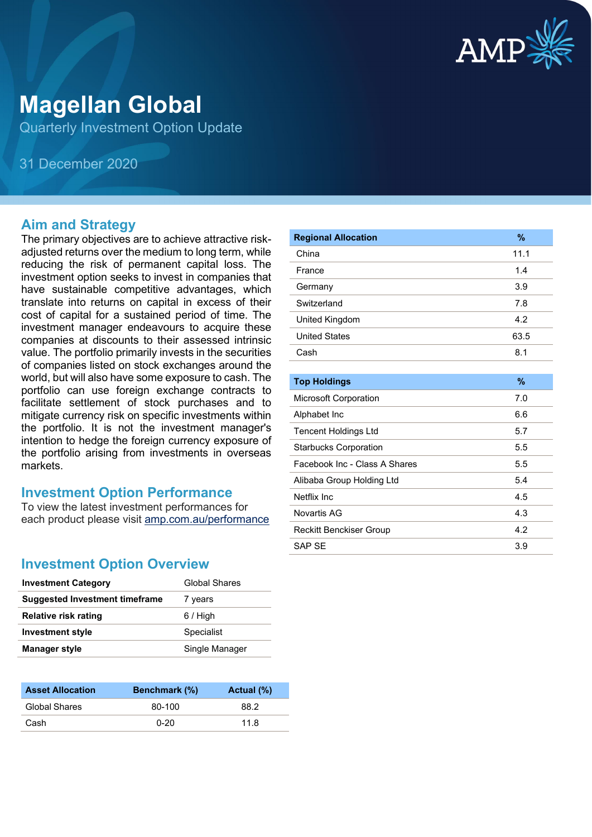

# **Magellan Global**

Quarterly Investment Option Update

31 December 2020

#### **Aim and Strategy**

The primary objectives are to achieve attractive riskadjusted returns over the medium to long term, while reducing the risk of permanent capital loss. The investment option seeks to invest in companies that have sustainable competitive advantages, which translate into returns on capital in excess of their cost of capital for a sustained period of time. The investment manager endeavours to acquire these companies at discounts to their assessed intrinsic value. The portfolio primarily invests in the securities of companies listed on stock exchanges around the world, but will also have some exposure to cash. The portfolio can use foreign exchange contracts to facilitate settlement of stock purchases and to mitigate currency risk on specific investments within the portfolio. It is not the investment manager's intention to hedge the foreign currency exposure of the portfolio arising from investments in overseas markets.

#### **Investment Option Performance**

To view the latest investment performances for each product please visit [amp.com.au/performance](https://www.amp.com.au/performance)

#### **Investment Option Overview**

| <b>Investment Category</b>     | Global Shares  |
|--------------------------------|----------------|
| Suggested Investment timeframe | 7 years        |
| <b>Relative risk rating</b>    | $6/$ High      |
| <b>Investment style</b>        | Specialist     |
| <b>Manager style</b>           | Single Manager |
|                                |                |

| <b>Asset Allocation</b> | <b>Benchmark</b> (%) | Actual (%) |
|-------------------------|----------------------|------------|
| Global Shares           | 80-100               | 88.2       |
| Cash                    | $0 - 20$             | 11.8       |

| <b>Regional Allocation</b>     | %             |
|--------------------------------|---------------|
| China                          | 11.1          |
| France                         | 1.4           |
| Germany                        | 3.9           |
| Switzerland                    | 7.8           |
| United Kingdom                 | 4.2           |
| <b>United States</b>           | 63.5          |
| Cash                           | 8.1           |
|                                |               |
| <b>Top Holdings</b>            | $\frac{9}{6}$ |
| Microsoft Corporation          | 7.0           |
| Alphabet Inc                   | 6.6           |
| <b>Tencent Holdings Ltd</b>    | 5.7           |
| <b>Starbucks Corporation</b>   | 5.5           |
| Facebook Inc - Class A Shares  | 5.5           |
| Alibaba Group Holding Ltd      | 5.4           |
| Netflix Inc.                   | 4.5           |
| Novartis AG                    | 4.3           |
| <b>Reckitt Benckiser Group</b> | 4.2           |
| <b>SAP SE</b>                  | 3.9           |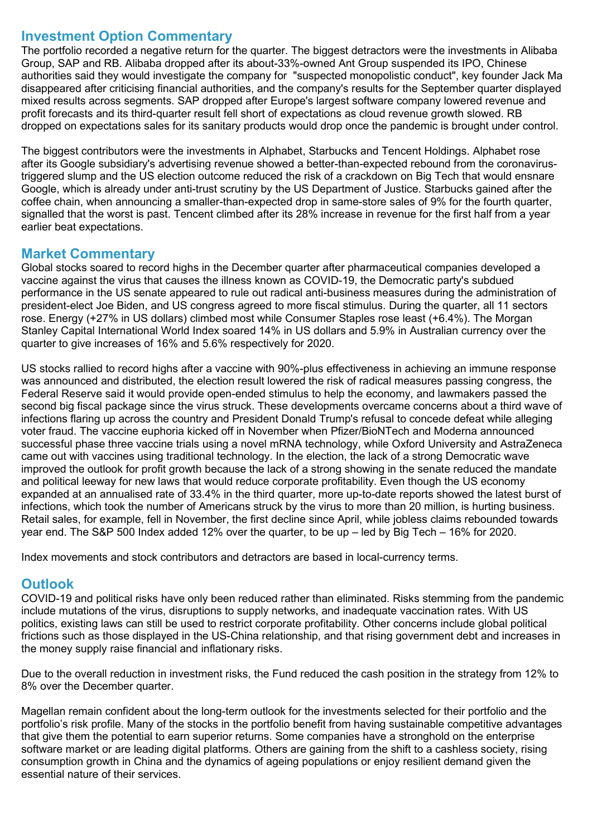#### **Investment Option Commentary**

The portfolio recorded a negative return for the quarter. The biggest detractors were the investments in Alibaba Group, SAP and RB. Alibaba dropped after its about-33%-owned Ant Group suspended its IPO, Chinese authorities said they would investigate the company for "suspected monopolistic conduct", key founder Jack Ma disappeared after criticising financial authorities, and the company's results for the September quarter displayed mixed results across segments. SAP dropped after Europe's largest software company lowered revenue and profit forecasts and its third-quarter result fell short of expectations as cloud revenue growth slowed. RB dropped on expectations sales for its sanitary products would drop once the pandemic is brought under control.

The biggest contributors were the investments in Alphabet, Starbucks and Tencent Holdings. Alphabet rose after its Google subsidiary's advertising revenue showed a better-than-expected rebound from the coronavirustriggered slump and the US election outcome reduced the risk of a crackdown on Big Tech that would ensnare Google, which is already under anti-trust scrutiny by the US Department of Justice. Starbucks gained after the coffee chain, when announcing a smaller-than-expected drop in same-store sales of 9% for the fourth quarter, signalled that the worst is past. Tencent climbed after its 28% increase in revenue for the first half from a year earlier beat expectations.

### **Market Commentary**

Global stocks soared to record highs in the December quarter after pharmaceutical companies developed a vaccine against the virus that causes the illness known as COVID-19, the Democratic party's subdued performance in the US senate appeared to rule out radical anti-business measures during the administration of president-elect Joe Biden, and US congress agreed to more fiscal stimulus. During the quarter, all 11 sectors rose. Energy (+27% in US dollars) climbed most while Consumer Staples rose least (+6.4%). The Morgan Stanley Capital International World Index soared 14% in US dollars and 5.9% in Australian currency over the quarter to give increases of 16% and 5.6% respectively for 2020.

US stocks rallied to record highs after a vaccine with 90%-plus effectiveness in achieving an immune response was announced and distributed, the election result lowered the risk of radical measures passing congress, the Federal Reserve said it would provide open-ended stimulus to help the economy, and lawmakers passed the second big fiscal package since the virus struck. These developments overcame concerns about a third wave of infections flaring up across the country and President Donald Trump's refusal to concede defeat while alleging voter fraud. The vaccine euphoria kicked off in November when Pfizer/BioNTech and Moderna announced successful phase three vaccine trials using a novel mRNA technology, while Oxford University and AstraZeneca came out with vaccines using traditional technology. In the election, the lack of a strong Democratic wave improved the outlook for profit growth because the lack of a strong showing in the senate reduced the mandate and political leeway for new laws that would reduce corporate profitability. Even though the US economy expanded at an annualised rate of 33.4% in the third quarter, more up-to-date reports showed the latest burst of infections, which took the number of Americans struck by the virus to more than 20 million, is hurting business. Retail sales, for example, fell in November, the first decline since April, while jobless claims rebounded towards year end. The S&P 500 Index added 12% over the quarter, to be up – led by Big Tech – 16% for 2020.

Index movements and stock contributors and detractors are based in local-currency terms.

## **Outlook**

COVID-19 and political risks have only been reduced rather than eliminated. Risks stemming from the pandemic include mutations of the virus, disruptions to supply networks, and inadequate vaccination rates. With US politics, existing laws can still be used to restrict corporate profitability. Other concerns include global political frictions such as those displayed in the US-China relationship, and that rising government debt and increases in the money supply raise financial and inflationary risks.

Due to the overall reduction in investment risks, the Fund reduced the cash position in the strategy from 12% to 8% over the December quarter.

Magellan remain confident about the long-term outlook for the investments selected for their portfolio and the portfolio's risk profile. Many of the stocks in the portfolio benefit from having sustainable competitive advantages that give them the potential to earn superior returns. Some companies have a stronghold on the enterprise software market or are leading digital platforms. Others are gaining from the shift to a cashless society, rising consumption growth in China and the dynamics of ageing populations or enjoy resilient demand given the essential nature of their services.